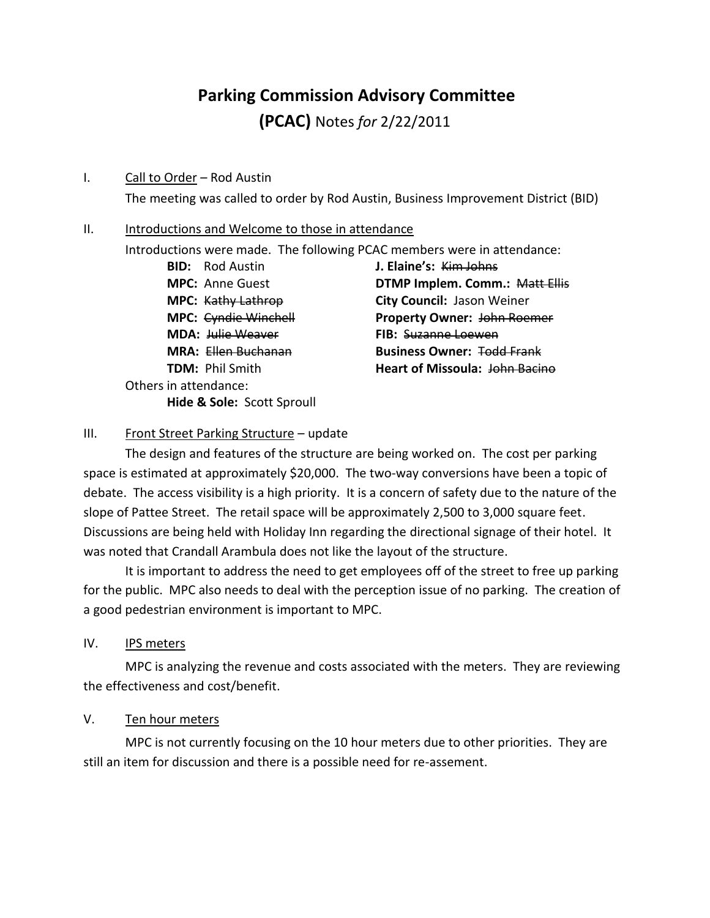# **Parking Commission Advisory Committee**

**(PCAC)** Notes *for* 2/22/2011

#### I. Call to Order – Rod Austin

The meeting was called to order by Rod Austin, Business Improvement District (BID)

#### II. Introductions and Welcome to those in attendance

Introductions were made. The following PCAC members were in attendance:

**BID:** Rod Austin **J. Elaine's:** Kim Johns **MDA:** Julie Weaver **FIB:** Suzanne Loewen Others in attendance: **Hide & Sole:** Scott Sproull

**MPC:** Anne Guest **DTMP Implem. Comm.:** Matt Ellis **MPC:** Kathy Lathrop **City Council:** Jason Weiner **MPC:** Cyndie Winchell **Property Owner:** John Roemer **MRA:** Ellen Buchanan **Business Owner:** Todd Frank **TDM:** Phil Smith **Heart of Missoula:** John Bacino

### III. Front Street Parking Structure - update

The design and features of the structure are being worked on. The cost per parking space is estimated at approximately \$20,000. The two-way conversions have been a topic of debate. The access visibility is a high priority. It is a concern of safety due to the nature of the slope of Pattee Street. The retail space will be approximately 2,500 to 3,000 square feet. Discussions are being held with Holiday Inn regarding the directional signage of their hotel. It was noted that Crandall Arambula does not like the layout of the structure.

It is important to address the need to get employees off of the street to free up parking for the public. MPC also needs to deal with the perception issue of no parking. The creation of a good pedestrian environment is important to MPC.

IV. IPS meters

MPC is analyzing the revenue and costs associated with the meters. They are reviewing the effectiveness and cost/benefit.

#### V. Ten hour meters

MPC is not currently focusing on the 10 hour meters due to other priorities. They are still an item for discussion and there is a possible need for re-assement.